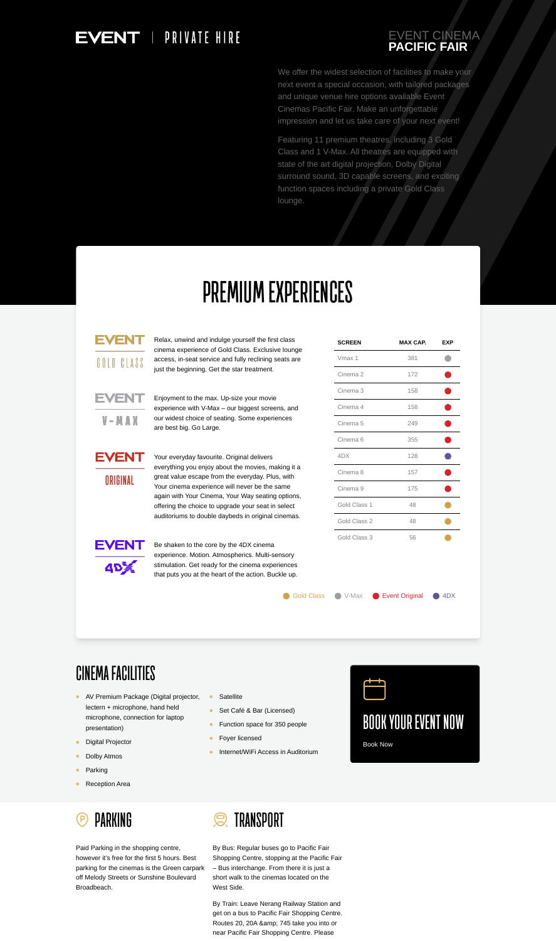

**TRANSPORT**  $\mathcal{Q}$ 

Paid Parking in the shopping centre, however it's free for the first 5 hours. Best parking for the cinemas is the Green carpark off Melody Streets or Sunshine Boulevard Broadbeach.

- **Satellite**  $\bullet$
- Set Café & Bar (Licensed)
- Function space for 350 people  $\bullet$
- Foyer licensed  $\bullet$
- Internet/WiFi Access in Auditorium $\bullet$

By Bus: Regular buses go to Pacific Fair Shopping Centre, stopping at the Pacific Fair – Bus interchange. From there it is just a short walk to the cinemas located on the West Side.

We offer the widest selection of facilities to make your next event a special occasion, with tailored packages and unique venue hire options available Event Cinemas Pacific Fair. Make an unforgettable impression and let us take care of your next event!

By Train: Leave Nerang Railway Station and get on a bus to Pacific Fair Shopping Centre. Routes 20, 20A & amp; 745 take you into or near Pacific Fair Shopping Centre. Please

## EVENT | PRIVATE HIRE

#### EVENT CINEMA **PACIFIC FAIR**

Featuring 11 premium theatres, including 3 Gold Class and 1 V-Max. All theatres are equipped with state of the art digital projection, Dolby Digital surround sound, 3D capable screens, and exciting function spaces including a private Gold Class lounge.

# **PREMIUM EXPERIENCES**

EVEN GOLD CLASS

- AV Premium Package (Digital projector, lectern + microphone, hand held microphone, connection for laptop presentation)
- Digital Projector  $\bullet$
- Dolby Atmos  $\bullet$
- $\bullet$ Parking
- Reception Area  $\bullet$

Relax, unwind and indulge yourself the first class cinema experience of Gold Class. Exclusive lounge access, in-seat service and fully reclining seats are just the beginning. Get the star treatment.



Enjoyment to the max. Up-size your movie experience with V-Max – our biggest screens, and our widest choice of seating. Some experiences

are best big. Go Large.

Your everyday favourite. Original delivers everything you enjoy about the movies, making it a great value escape from the everyday. Plus, with Your cinema experience will never be the same again with Your Cinema, Your Way seating options, offering the choice to upgrade your seat in select auditoriums to double daybeds in original cinemas.



Be shaken to the core by the 4DX cinema experience. Motion. Atmospherics. Multi-sensory stimulation. Get ready for the cinema experiences that puts you at the heart of the action. Buckle up.

| <b>Gold Class</b> |  |
|-------------------|--|
|                   |  |

**SCREEN MAX CAP. EXP**

## ORIGINAL

**EVENT** 



### **CINEMA FACILITIES**